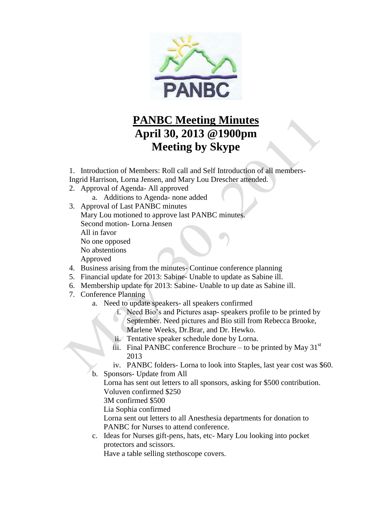

## **PANBC Meeting Minutes April 30, 2013 @1900pm Meeting by Skype**

1. Introduction of Members: Roll call and Self Introduction of all members-

Ingrid Harrison, Lorna Jensen, and Mary Lou Drescher attended.

- 2. Approval of Agenda- All approved
	- a. Additions to Agenda- none added
- 3. Approval of Last PANBC minutes Mary Lou motioned to approve last PANBC minutes. Second motion- Lorna Jensen All in favor No one opposed No abstentions Approved
- 4. Business arising from the minutes- Continue conference planning
- 5. Financial update for 2013: Sabine- Unable to update as Sabine ill.
- 6. Membership update for 2013: Sabine- Unable to up date as Sabine ill.
- 7. Conference Planning
	- a. Need to update speakers- all speakers confirmed
		- i. Need Bio's and Pictures asap- speakers profile to be printed by September. Need pictures and Bio still from Rebecca Brooke, Marlene Weeks, Dr.Brar, and Dr. Hewko.
		- ii. Tentative speaker schedule done by Lorna.
		- iii. Final PANBC conference Brochure to be printed by May  $31<sup>st</sup>$ 2013
		- iv. PANBC folders- Lorna to look into Staples, last year cost was \$60.
	- b. Sponsors- Update from All

Lorna has sent out letters to all sponsors, asking for \$500 contribution. Voluven confirmed \$250

3M confirmed \$500

Lia Sophia confirmed

Lorna sent out letters to all Anesthesia departments for donation to PANBC for Nurses to attend conference.

c. Ideas for Nurses gift-pens, hats, etc- Mary Lou looking into pocket protectors and scissors.

Have a table selling stethoscope covers.